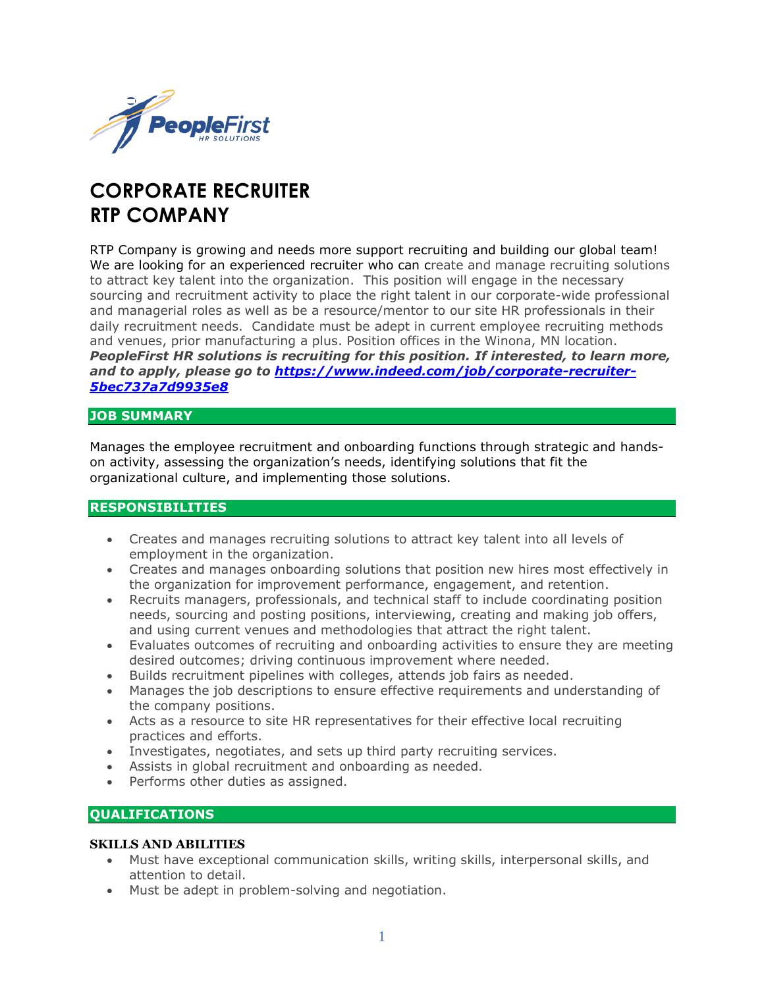

# **CORPORATE RECRUITER RTP COMPANY**

RTP Company is growing and needs more support recruiting and building our global team! We are looking for an experienced recruiter who can create and manage recruiting solutions to attract key talent into the organization. This position will engage in the necessary sourcing and recruitment activity to place the right talent in our corporate-wide professional and managerial roles as well as be a resource/mentor to our site HR professionals in their daily recruitment needs. Candidate must be adept in current employee recruiting methods and venues, prior manufacturing a plus. Position offices in the Winona, MN location. *PeopleFirst HR solutions is recruiting for this position. If interested, to learn more, and to apply, please go to [https://www.indeed.com/job/corporate-recruiter-](https://www.indeed.com/job/corporate-recruiter-5bec737a7d9935e8)[5bec737a7d9935e8](https://www.indeed.com/job/corporate-recruiter-5bec737a7d9935e8)*

### **JOB SUMMARY**

Manages the employee recruitment and onboarding functions through strategic and handson activity, assessing the organization's needs, identifying solutions that fit the organizational culture, and implementing those solutions.

## **RESPONSIBILITIES**

- Creates and manages recruiting solutions to attract key talent into all levels of employment in the organization.
- Creates and manages onboarding solutions that position new hires most effectively in the organization for improvement performance, engagement, and retention.
- Recruits managers, professionals, and technical staff to include coordinating position needs, sourcing and posting positions, interviewing, creating and making job offers, and using current venues and methodologies that attract the right talent.
- Evaluates outcomes of recruiting and onboarding activities to ensure they are meeting desired outcomes; driving continuous improvement where needed.
- Builds recruitment pipelines with colleges, attends job fairs as needed.
- Manages the job descriptions to ensure effective requirements and understanding of the company positions.
- Acts as a resource to site HR representatives for their effective local recruiting practices and efforts.
- Investigates, negotiates, and sets up third party recruiting services.
- Assists in global recruitment and onboarding as needed.
- Performs other duties as assigned.

## **QUALIFICATIONS**

#### **SKILLS AND ABILITIES**

- Must have exceptional communication skills, writing skills, interpersonal skills, and attention to detail.
- Must be adept in problem-solving and negotiation.